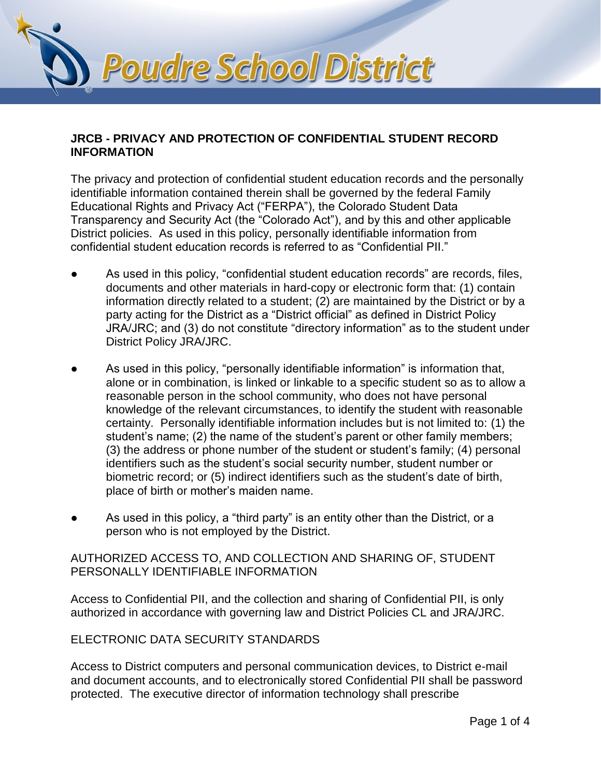

#### **JRCB - PRIVACY AND PROTECTION OF CONFIDENTIAL STUDENT RECORD INFORMATION**

The privacy and protection of confidential student education records and the personally identifiable information contained therein shall be governed by the federal Family Educational Rights and Privacy Act ("FERPA"), the Colorado Student Data Transparency and Security Act (the "Colorado Act"), and by this and other applicable District policies. As used in this policy, personally identifiable information from confidential student education records is referred to as "Confidential PII."

- As used in this policy, "confidential student education records" are records, files, documents and other materials in hard-copy or electronic form that: (1) contain information directly related to a student; (2) are maintained by the District or by a party acting for the District as a "District official" as defined in District Policy JRA/JRC; and (3) do not constitute "directory information" as to the student under District Policy JRA/JRC.
- As used in this policy, "personally identifiable information" is information that, alone or in combination, is linked or linkable to a specific student so as to allow a reasonable person in the school community, who does not have personal knowledge of the relevant circumstances, to identify the student with reasonable certainty. Personally identifiable information includes but is not limited to: (1) the student's name; (2) the name of the student's parent or other family members; (3) the address or phone number of the student or student's family; (4) personal identifiers such as the student's social security number, student number or biometric record; or (5) indirect identifiers such as the student's date of birth, place of birth or mother's maiden name.
- As used in this policy, a "third party" is an entity other than the District, or a person who is not employed by the District.

# AUTHORIZED ACCESS TO, AND COLLECTION AND SHARING OF, STUDENT PERSONALLY IDENTIFIABLE INFORMATION

Access to Confidential PII, and the collection and sharing of Confidential PII, is only authorized in accordance with governing law and District Policies CL and JRA/JRC.

## ELECTRONIC DATA SECURITY STANDARDS

Access to District computers and personal communication devices, to District e-mail and document accounts, and to electronically stored Confidential PII shall be password protected. The executive director of information technology shall prescribe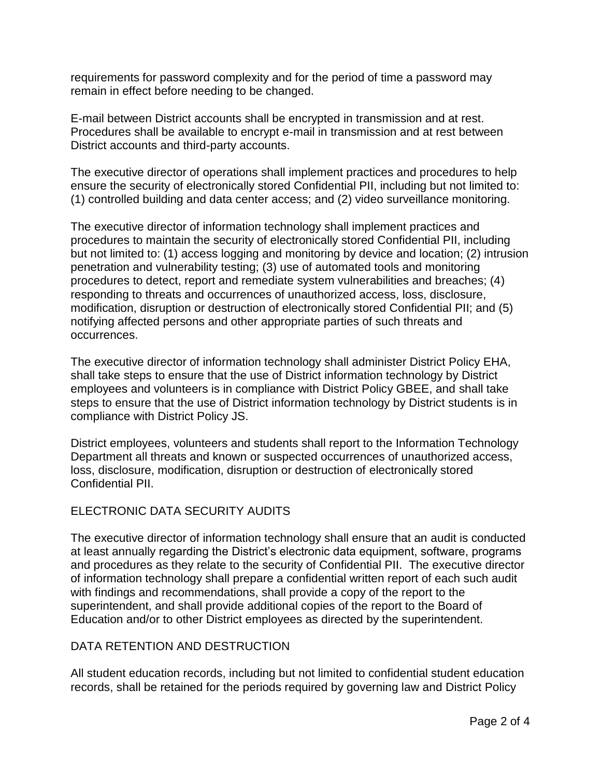requirements for password complexity and for the period of time a password may remain in effect before needing to be changed.

E-mail between District accounts shall be encrypted in transmission and at rest. Procedures shall be available to encrypt e-mail in transmission and at rest between District accounts and third-party accounts.

The executive director of operations shall implement practices and procedures to help ensure the security of electronically stored Confidential PII, including but not limited to: (1) controlled building and data center access; and (2) video surveillance monitoring.

The executive director of information technology shall implement practices and procedures to maintain the security of electronically stored Confidential PII, including but not limited to: (1) access logging and monitoring by device and location; (2) intrusion penetration and vulnerability testing; (3) use of automated tools and monitoring procedures to detect, report and remediate system vulnerabilities and breaches; (4) responding to threats and occurrences of unauthorized access, loss, disclosure, modification, disruption or destruction of electronically stored Confidential PII; and (5) notifying affected persons and other appropriate parties of such threats and occurrences.

The executive director of information technology shall administer District Policy EHA, shall take steps to ensure that the use of District information technology by District employees and volunteers is in compliance with District Policy GBEE, and shall take steps to ensure that the use of District information technology by District students is in compliance with District Policy JS.

District employees, volunteers and students shall report to the Information Technology Department all threats and known or suspected occurrences of unauthorized access, loss, disclosure, modification, disruption or destruction of electronically stored Confidential PII.

## ELECTRONIC DATA SECURITY AUDITS

The executive director of information technology shall ensure that an audit is conducted at least annually regarding the District's electronic data equipment, software, programs and procedures as they relate to the security of Confidential PII. The executive director of information technology shall prepare a confidential written report of each such audit with findings and recommendations, shall provide a copy of the report to the superintendent, and shall provide additional copies of the report to the Board of Education and/or to other District employees as directed by the superintendent.

## DATA RETENTION AND DESTRUCTION

All student education records, including but not limited to confidential student education records, shall be retained for the periods required by governing law and District Policy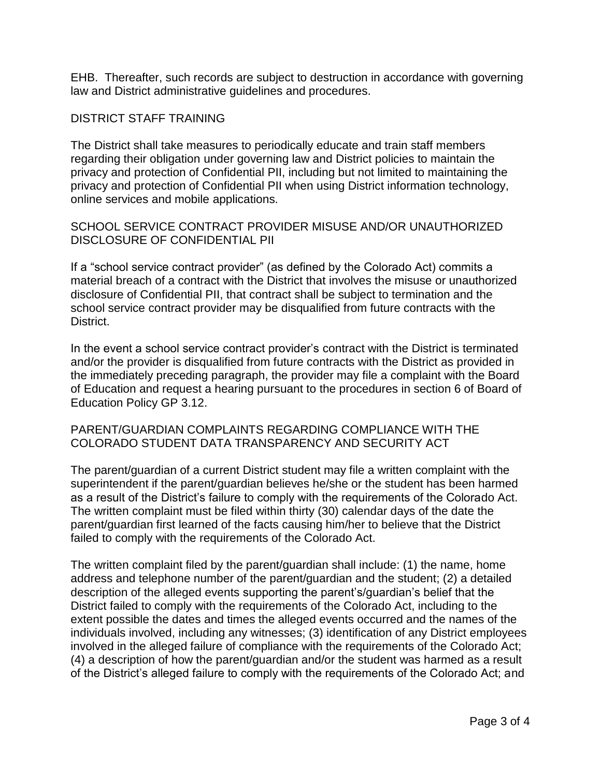EHB. Thereafter, such records are subject to destruction in accordance with governing law and District administrative guidelines and procedures.

#### DISTRICT STAFF TRAINING

The District shall take measures to periodically educate and train staff members regarding their obligation under governing law and District policies to maintain the privacy and protection of Confidential PII, including but not limited to maintaining the privacy and protection of Confidential PII when using District information technology, online services and mobile applications.

SCHOOL SERVICE CONTRACT PROVIDER MISUSE AND/OR UNAUTHORIZED DISCLOSURE OF CONFIDENTIAL PII

If a "school service contract provider" (as defined by the Colorado Act) commits a material breach of a contract with the District that involves the misuse or unauthorized disclosure of Confidential PII, that contract shall be subject to termination and the school service contract provider may be disqualified from future contracts with the District.

In the event a school service contract provider's contract with the District is terminated and/or the provider is disqualified from future contracts with the District as provided in the immediately preceding paragraph, the provider may file a complaint with the Board of Education and request a hearing pursuant to the procedures in section 6 of Board of Education Policy GP 3.12.

#### PARENT/GUARDIAN COMPLAINTS REGARDING COMPLIANCE WITH THE COLORADO STUDENT DATA TRANSPARENCY AND SECURITY ACT

The parent/guardian of a current District student may file a written complaint with the superintendent if the parent/guardian believes he/she or the student has been harmed as a result of the District's failure to comply with the requirements of the Colorado Act. The written complaint must be filed within thirty (30) calendar days of the date the parent/guardian first learned of the facts causing him/her to believe that the District failed to comply with the requirements of the Colorado Act.

The written complaint filed by the parent/guardian shall include: (1) the name, home address and telephone number of the parent/guardian and the student; (2) a detailed description of the alleged events supporting the parent's/guardian's belief that the District failed to comply with the requirements of the Colorado Act, including to the extent possible the dates and times the alleged events occurred and the names of the individuals involved, including any witnesses; (3) identification of any District employees involved in the alleged failure of compliance with the requirements of the Colorado Act; (4) a description of how the parent/guardian and/or the student was harmed as a result of the District's alleged failure to comply with the requirements of the Colorado Act; and